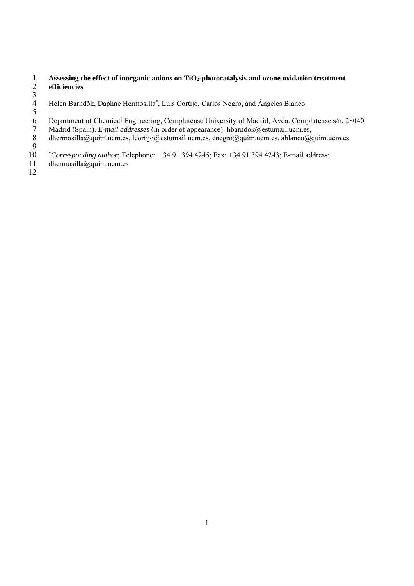#### 1 **Assessing the effect of inorganic anions on TiO2-photocatalysis and ozone oxidation treatment**  2 **efficiencies**

- 3 Helen Barndõk, Daphne Hermosilla<sup>\*</sup>, Luis Cortijo, Carlos Negro, and Ángeles Blanco
- 5 6 Department of Chemical Engineering, Complutense University of Madrid, Avda. Complutense s/n, 28040
- 7 Madrid (Spain). *E-mail addresses* (in order of appearance): hbarndok@estumail.ucm.es,
- 8 dhermosilla@quim.ucm.es, lcortijo@estumail.ucm.es, cnegro@quim.ucm.es, ablanco@quim.ucm.es
- 
- 9 \* <sup>10</sup>*Corresponding author*; Telephone: +34 91 394 4245; Fax: +34 91 394 4243; E-mail address:
- 11 dhermosilla@quim.ucm.es
- 12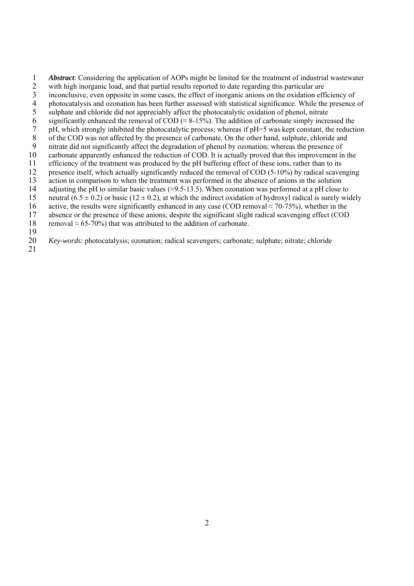1 *Abstract*: Considering the application of AOPs might be limited for the treatment of industrial wastewater with high inorganic load, and that partial results reported to date regarding this particular are inconclusive,

- with high inorganic load, and that partial results reported to date regarding this particular are
- 3 inconclusive, even opposite in some cases, the effect of inorganic anions on the oxidation efficiency of photocatalysis and ozonation has been further assessed with statistical significance. While the presence
- 4 photocatalysis and ozonation has been further assessed with statistical significance. While the presence of sulphate and chloride did not appreciably affect the photocatalytic oxidation of phenol, nitrate
- 5 sulphate and chloride did not appreciably affect the photocatalytic oxidation of phenol, nitrate<br>6 significantly enhanced the removal of COD ( $\approx$  8-15%). The addition of carbonate simply incre
- 6 significantly enhanced the removal of COD ( $\approx$  8-15%). The addition of carbonate simply increased the pH, which strongly inhibited the photocatalytic process; whereas if pH=5 was kept constant, the reduction
- of the COD was not affected by the presence of carbonate. On the other hand, sulphate, chloride and
- 7 pH, which strongly inhibited the photocatalytic process; whereas if pH=5 was kept constant, the reduction<br>8 of the COD was not affected by the presence of carbonate. On the other hand, sulphate, chloride and<br>9 nitrate di 9 nitrate did not significantly affect the degradation of phenol by ozonation; whereas the presence of
- 10 carbonate apparently enhanced the reduction of COD. It is actually proved that this improvement in the
- 
- 11 efficiency of the treatment was produced by the pH buffering effect of these ions, rather than to its<br>12 presence itself, which actually significantly reduced the removal of COD (5-10%) by radical scaver
- 12 presence itself, which actually significantly reduced the removal of COD (5-10%) by radical scavenging<br>13 action in comparison to when the treatment was performed in the absence of anions in the solution
- 13 action in comparison to when the treatment was performed in the absence of anions in the solution<br>14 adjusting the pH to similar basic values  $(\approx 9.5-13.5)$ . When ozonation was performed at a pH close adjusting the pH to similar basic values ( $\approx$ 9.5-13.5). When ozonation was performed at a pH close to
- 15 neutral (6.5  $\pm$  0.2) or basic (12  $\pm$  0.2), at which the indirect oxidation of hydroxyl radical is surely widely
- 16 active, the results were significantly enhanced in any case (COD removal  $\approx$  70-75%), whether in the
- 17 absence or the presence of these anions; despite the significant slight radical scavenging effect (COD
- 18 removal  $\approx 65-70\%$ ) that was attributed to the addition of carbonate.
- $\frac{19}{20}$

20 *Key-words*: photocatalysis; ozonation; radical scavengers; carbonate; sulphate; nitrate; chloride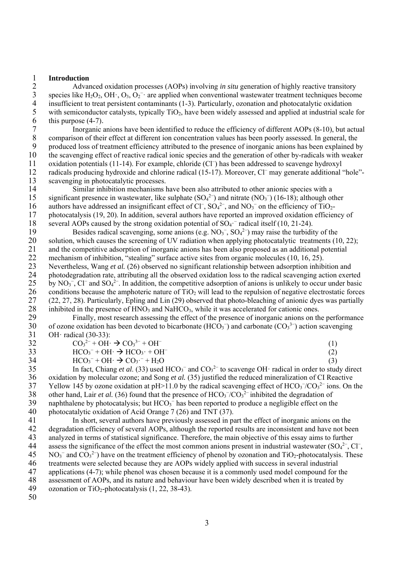#### 1 **Introduction**

2 Advanced oxidation processes (AOPs) involving *in situ* generation of highly reactive transitory<br>3 species like  $H_2O_2$ ,  $OH \cdot$ ,  $O_3$ ,  $O_2$ <sup>-</sup> are applied when conventional wastewater treatment techniques becom 3 species like  $H_2O_2$ , OH $\cdot$ , O<sub>3</sub>, O<sub>2</sub><sup>-</sup> are applied when conventional wastewater treatment techniques become 4 insufficient to treat persistent contaminants (1-3). Particularly, ozonation and photocatalytic oxidation<br>5 with semiconductor catalysts, typically  $TiO_2$ , have been widely assessed and applied at industrial scale<br>6 thi with semiconductor catalysts, typically TiO<sub>2</sub>, have been widely assessed and applied at industrial scale for 6 this purpose  $(4-7)$ .<br>7 Inorganic a

7 Inorganic anions have been identified to reduce the efficiency of different AOPs (8-10), but actual<br>8 comparison of their effect at different ion concentration values has been poorly assessed. In general, the 8 comparison of their effect at different ion concentration values has been poorly assessed. In general, the produced loss of treatment efficiency attributed to the presence of inorganic anions has been explained b produced loss of treatment efficiency attributed to the presence of inorganic anions has been explained by 10 the scavenging effect of reactive radical ionic species and the generation of other by-radicals with weaker oxidation potentials (11-14). For example, chloride (Cl<sup>−</sup> 11 ) has been addressed to scavenge hydroxyl radicals producing hydroxide and chlorine radical (15-17). Moreover, Cl<sup>−</sup> 12 may generate additional "hole"- 13 scavenging in photocatalytic processes.<br>14 Similar inhibition mechanisms

Similar inhibition mechanisms have been also attributed to other anionic species with a 15 significant presence in wastewater, like sulphate  $(SO<sub>4</sub><sup>2</sup>)$  and nitrate  $(NO<sub>3</sub><sup>-</sup>)$  (16-18); although other 16 authors have addressed an insignificant effect of Cl<sup>−</sup>, SO<sub>4</sub><sup>2−</sup>, and NO<sub>3</sub><sup>−</sup> on the efficiency of TiO<sub>2</sub>-17 photocatalysis (19, 20). In addition, several authors have reported an improved oxidation efficiency of 18 several AOPs caused by the strong oxidation potential of SO<sub>4</sub><sup>-</sup> radical itself (10, 21-24).

Besides radical scavenging, some anions (e.g.  $NO<sub>3</sub><sup>-</sup>$ ,  $SO<sub>4</sub><sup>2</sup>$ ) may raise the turbidity of the 20 solution, which causes the screening of UV radiation when applying photocatalytic treatments (10, 22); 21 and the competitive adsorption of inorganic anions has been also proposed as an additional potential<br>22 mechanism of inhibition. "stealing" surface active sites from organic molecules (10, 16, 25). 22 mechanism of inhibition, "stealing" surface active sites from organic molecules (10, 16, 25).<br>23 Nevertheless, Wang *et al.* (26) observed no significant relationship between adsorption inhib Nevertheless, Wang *et al.* (26) observed no significant relationship between adsorption inhibition and 24 photodegradation rate, attributing all the observed oxidation loss to the radical scavenging action exerted 25 by NO<sub>3</sub><sup>-</sup>, Cl<sup>−</sup> and SO<sub>4</sub><sup>2-</sup>. In addition, the competitive adsorption of anions is unlikely to occur under basic 26 conditions because the amphoteric nature of  $TiO<sub>2</sub>$  will lead to the repulsion of negative electrostatic forces 27 (22, 27, 28). Particularly, Epling and Lin (29) observed that photo-bleaching of anionic dyes was p 27 (22, 27, 28). Particularly, Epling and Lin (29) observed that photo-bleaching of anionic dyes was partially 28 inhibited in the presence of  $HNO<sub>3</sub>$  and  $NaHCO<sub>3</sub>$ , while it was accelerated for cationic ones.<br>29 Finally, most research assessing the effect of the presence of inorganic anions on the

29 Finally, most research assessing the effect of the presence of inorganic anions on the performance<br>30 of ozone oxidation has been devoted to bicarbonate (HCO<sub>3</sub><sup>-</sup>) and carbonate (CO<sub>3</sub><sup>3-</sup>) action scavenging 30 of ozone oxidation has been devoted to bicarbonate (HCO<sub>3</sub><sup>-</sup>) and carbonate (CO<sub>3</sub><sup>3-</sup>) action scavenging 31 OH· radical (30-33):<br>32  $CO_3^{2-} + OH$ 

| 32 | $CO32- + OH \cdot \rightarrow CO33- + OH-$            |  |
|----|-------------------------------------------------------|--|
| 33 | $HCO_3^-$ + OH $\cdot \rightarrow HCO_3 \cdot + OH^-$ |  |

 $HCO_3^- + OH \cdot \rightarrow CO_3^- + H_2O$  (3)

35 In fact, Chiang *et al.* (33) used  $HCO_3^-$  and  $CO_3^{2-}$  to scavenge OH· radical in order to study direct 36 oxidation by molecular ozone; and Song *et al.* (35) justified the reduced mineralization of CI Reactive<br>37 Yellow 145 by ozone oxidation at pH>11.0 by the radical scavenging effect of HCO<sub>3</sub><sup>-</sup>/CO<sub>3</sub><sup>2</sup> ions. On 37 Yellow 145 by ozone oxidation at pH>11.0 by the radical scavenging effect of  $HCO<sub>3</sub><sup>-</sup>/CO<sub>3</sub><sup>2-</sup> ions$ . On the 38 other hand, Lair *et al.* (36) found that the presence of  $HCO<sub>3</sub><sup>-</sup>/CO<sub>3</sub><sup>2-</sup>$  inhibited the degradation of 39 naphthalene by photocatalysis; but  $HCO<sub>3</sub><sup>-</sup>$  has been reported to produce a negligible effect on the 40 photocatalytic oxidation of Acid Orange 7 (26) and TNT (37).

41 In short, several authors have previously assessed in part the effect of inorganic anions on the 42 degradation efficiency of several AOPs, although the reported results are inconsistent and have not been 43 analyzed in terms of statistical significance. Therefore, the main objective of this essay aims to further assess the significance of the effect the most common anions present in industrial wastewater  $(SO<sub>4</sub><sup>2</sup> -$ 44 assess the significance of the effect the most common anions present in industrial wastewater  $(SO<sub>4</sub><sup>2</sup>$ , Cl<sup>-</sup>,  $45$  NO<sub>3</sub><sup>-</sup> and CO<sub>3</sub><sup>2-</sup>) have on the treatment efficiency of phenol by ozonation and TiO<sub>2</sub>-photocatalysis. These 46 treatments were selected because they are AOPs widely applied with success in several industrial 47 applications (4-7); while phenol was chosen because it is a commonly used model compound for the 48 assessment of AOPs, and its nature and behaviour have been widely described when it is treated by 49 ozonation or  $TiO<sub>2</sub>$ -photocatalysis (1, 22, 38-43). 50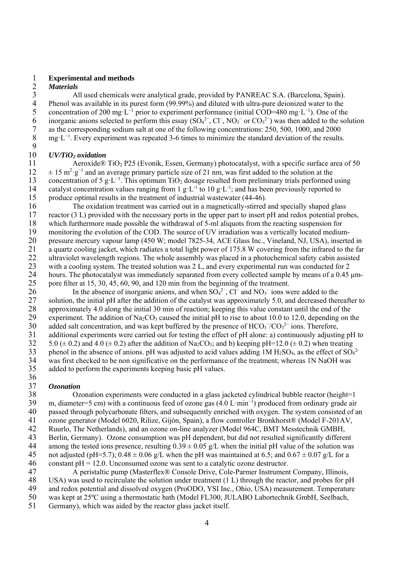# 1 **Experimental and methods**

2 *Materials*  3 All used chemicals were analytical grade, provided by PANREAC S.A. (Barcelona, Spain).<br>4 Phenol was available in its purest form (99.99%) and diluted with ultra-pure deionized water to the 4 Phenol was available in its purest form (99.99%) and diluted with ultra-pure deionized water to the concentration of 200 mg  $L^{-1}$  prior to experiment performance (initial COD=480 mg  $L^{-1}$ ). One of th 5 concentration of 200 mg⋅L<sup>-1</sup> prior to experiment performance (initial COD=480 mg⋅L<sup>-1</sup>). One of the 6 inorganic anions selected to perform this essay  $(SO<sub>4</sub><sup>2</sup>-, Cl<sup>-</sup>, NO<sub>3</sub><sup>-</sup> or CO<sub>3</sub><sup>2</sup>)$  was then added to the solution 7 as the corresponding sodium salt at one of the following concentrations:  $250$ , 500, 1000, and 2000 mg·L<sup>-1</sup>. Every experiment was repeated 3-6 times to minimize the standard deviation of the results mg·L<sup>-1</sup>. Every experiment was repeated 3-6 times to minimize the standard deviation of the results.

### $\frac{9}{10}$ 10 *UV/TiO2 oxidation*

Aeroxide® TiO<sub>2</sub> P25 (Evonik, Essen, Germany) photocatalyst, with a specific surface area of 50  $12 \t± 15 m<sup>2</sup>·g<sup>-1</sup>$  and an average primary particle size of 21 nm, was first added to the solution at the concentration of 5 g·L<sup>-1</sup>. This optimum TiO<sub>2</sub> dosage resulted from preliminary trials performed using<br>14 catalyst concentration values ranging from 1 g·L<sup>-1</sup> to 10 g·L<sup>-1</sup>; and has been previously reported to catalyst concentration values ranging from 1 g·L<sup>-1</sup> to 10 g·L<sup>-1</sup>; and has been previously reported to 15 produce optimal results in the treatment of industrial wastewater (44-46).

16 The oxidation treatment was carried out in a magnetically-stirred and specially shaped glass 17 reactor (3 L) provided with the necessary ports in the upper part to insert pH and redox potential probes, 18 which furthermore made possible the withdrawal of 5-ml aliquots from the reacting suspension for<br>19 monitoring the evolution of the COD. The source of UV irradiation was a vertically located medium monitoring the evolution of the COD. The source of UV irradiation was a vertically located medium-20 pressure mercury vapour lamp (450 W; model 7825-34, ACE Glass Inc., Vineland, NJ, USA), inserted in 21 a quartz cooling jacket, which radiates a total light power of 175.8 W covering from the infrared to the far<br>22 ultraviolet wavelength regions. The whole assembly was placed in a photochemical safety cabin assisted 22 ultraviolet wavelength regions. The whole assembly was placed in a photochemical safety cabin assisted 23 with a cooling system. The treated solution was 2 L, and every experimental run was conducted for 2 24 hours. The photocatalyst was immediately separated from every collected sample by means of a 0.45 μm-25 pore filter at 15, 30, 45, 60, 90, and 120 min from the beginning of the treatment.

26 In the absence of inorganic anions, and when  $SO_4^{2-}$ , Cl<sup>−</sup> and NO<sub>3</sub><sup>-</sup> ions were added to the 27 solution, the initial pH after the addition of the catalyst was approximately 5.0, and decreased thereafter to 28 approximately 4.0 along the initial 30 min of reaction; keeping this value constant until the end of the experiment. The addition of  $Na_2CO_3$  caused the initial pH to rise to about 10.0 to 12.0, depending on t experiment. The addition of Na<sub>2</sub>CO<sub>3</sub> caused the initial pH to rise to about 10.0 to 12.0, depending on the 30 added salt concentration, and was kept buffered by the presence of  $HCO<sub>3</sub><sup>-</sup>/CO<sub>3</sub><sup>2-</sup> ions$ . Therefore, 31 additional experiments were carried out for testing the effect of pH alone: a) continuously adjusting pH to  $5.0 \ (\pm 0.2)$  and  $4.0 \ (\pm 0.2)$  after the addition of Na<sub>2</sub>CO<sub>3</sub>; and b) keeping pH=12.0 ( $\pm 0.2$ ) when treat 5.0 ( $\pm$  0.2) and 4.0 ( $\pm$  0.2) after the addition of Na<sub>2</sub>CO<sub>3</sub>; and b) keeping pH=12.0 ( $\pm$  0.2) when treating 33 phenol in the absence of anions. pH was adjusted to acid values adding  $1M H_2SO_4$ , as the effect of  $SO_4^2$ 34 was first checked to be non significative on the performance of the treatment; whereas 1N NaOH was 35 added to perform the experiments keeping basic pH values.

# $\frac{36}{37}$

37 *Ozonation*  38 Ozonation experiments were conducted in a glass jacketed cylindrical bubble reactor (height=1<br>39 m. diameter=5 cm) with a continuous feed of ozone gas  $(4.0 \text{ L} \cdot \text{min}^{-1})$  produced from ordinary grade air m, diameter=5 cm) with a continuous feed of ozone gas (4.0 L·min<sup>-1</sup>) produced from ordinary grade air 40 passed through polycarbonate filters, and subsequently enriched with oxygen. The system consisted of an 41 ozone generator (Model 6020, Rilize, Gijón, Spain), a flow controller Bronkhorst® (Model F-201AV, 42 Ruurlo, The Netherlands), and an ozone on-line analyzer (Model 964C, BMT Messtechnik GMBH, 43 Berlin, Germany). Ozone consumption was pH dependent, but did not resulted significantly different among the tested ions presence, resulting  $0.39 \pm 0.05$  g/L when the initial pH value of the solution was 44 among the tested ions presence, resulting  $0.39 \pm 0.05$  g/L when the initial pH value of the solution was not adjusted (pH=5.7);  $0.48 \pm 0.06$  g/L when the pH was maintained at 6.5; and  $0.67 \pm 0.07$  g/L for a not adjusted (pH=5.7);  $0.48 \pm 0.06$  g/L when the pH was maintained at 6.5; and  $0.67 \pm 0.07$  g/L for a 46 constant  $pH = 12.0$ . Unconsumed ozone was sent to a catalytic ozone destructor.

47 A peristaltic pump (Masterflex® Console Drive, Cole-Parmer Instrument Company, Illinois, 48 USA) was used to recirculate the solution under treatment (1 L) through the reactor, and probes for pH 49 and redox potential and dissolved oxygen (ProODO, YSI Inc., Ohio, USA) measurement. Temperature 50 was kept at 25ºC using a thermostatic bath (Model FL300, JULABO Labortechnik GmbH, Seelbach,

51 Germany), which was aided by the reactor glass jacket itself.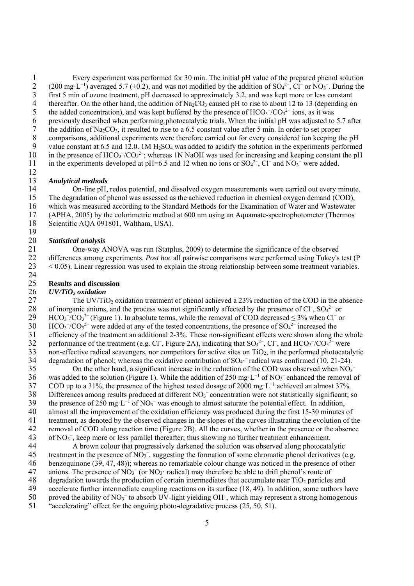1 Every experiment was performed for 30 min. The initial pH value of the prepared phenol solution 2 (200 mg·L<sup>-1</sup>) averaged 5.7 ( $\pm$ 0.2), and was not modified by the addition of SO<sub>4</sub><sup>2-</sup>, Cl<sup>-</sup> or NO<sub>3</sub><sup>-</sup>. During the 2 (200 mg·L<sup>-1</sup>) averaged 5.7 (±0.2), and was not modified by the addition of SO<sub>4</sub><sup>2-</sup>, Cl<sup>−</sup> or NO<sub>3</sub><sup>-</sup>. During the 3 first 5 min of ozone treatment, pH decreased to approximately 3.2, and was kept more or less constant thereafter. On the other hand, the addition of Na<sub>2</sub>CO<sub>3</sub> caused pH to rise to about 12 to 13 (depending or 4 thereafter. On the other hand, the addition of Na<sub>2</sub>CO<sub>3</sub> caused pH to rise to about 12 to 13 (depending on the added concentration), and was kept buffered by the presence of  $HCO<sub>3</sub><sup>-</sup>/CO<sub>3</sub><sup>2-</sup> ions, as it was$ 5 the added concentration), and was kept buffered by the presence of  $HCO<sub>3</sub><sup>-</sup>/CO<sub>3</sub><sup>2-</sup> ions,$  as it was 6 previously described when performing photocatalytic trials. When the initial pH was adjusted to 5.7 after the addition of  $\text{Na}_2\text{CO}_3$ , it resulted to rise to a 6.5 constant value after 5 min. In order to set proper 7 the addition of Na<sub>2</sub>CO<sub>3</sub>, it resulted to rise to a 6.5 constant value after 5 min. In order to set proper comparisons, additional experiments were therefore carried out for every considered ion keeping the 8 comparisons, additional experiments were therefore carried out for every considered ion keeping the pH value constant at  $6.5$  and  $12.0$ . 1M H<sub>2</sub>SO<sub>4</sub> was added to acidify the solution in the experiments performed value constant at 6.5 and 12.0. 1M  $H_2SO_4$  was added to acidify the solution in the experiments performed 10 in the presence of  $HCO<sub>3</sub><sup>-</sup>/CO<sub>3</sub><sup>2</sup>$ ; whereas 1N NaOH was used for increasing and keeping constant the pH 11 in the experiments developed at pH=6.5 and 12 when no ions or SO<sub>4</sub><sup>2-</sup>, Cl<sup>−</sup> and NO<sub>3</sub><sup>-</sup> were added.

# $\frac{12}{13}$

13 *Analytical methods*  14 On-line pH, redox potential, and dissolved oxygen measurements were carried out every minute. 15 The degradation of phenol was assessed as the achieved reduction in chemical oxygen demand (COD), 16 which was measured according to the Standard Methods for the Examination of Water and Wastewater 17 (APHA, 2005) by the colorimetric method at 600 nm using an Aquamate-spectrophotometer (Thermos 18 Scientific AQA 091801, Waltham, USA).

### $\frac{19}{20}$ 20 *Statistical analysis*

21 One-way ANOVA was run (Statplus, 2009) to determine the significance of the observed<br>22 differences among experiments. *Post hoc* all pairwise comparisons were performed using Tukev's 22 differences among experiments. *Post hoc* all pairwise comparisons were performed using Tukey's test (P 23 < 0.05). Linear regression was used to explain the strong relationship between some treatment variables.

#### 25 **Results and discussion**

# 26 *UV/TiO<sub>2</sub> oxidation*<br>27 The UV/Ti

24

The UV/TiO<sub>2</sub> oxidation treatment of phenol achieved a 23% reduction of the COD in the absence 28 of inorganic anions, and the process was not significantly affected by the presence of Cl<sup>−</sup>, SO<sub>4</sub><sup>2−</sup> or  $29$  HCO<sub>3</sub><sup>-</sup>/CO<sub>3</sub><sup>2–</sup> (Figure 1). In absolute terms, while the removal of COD decreased ≤ 3% when Cl<sup>-</sup> or  $30$  HCO<sub>3</sub><sup>-</sup>/CO<sub>3</sub><sup>2–</sup> were added at any of the tested concentrations, the presence of SO<sub>4</sub><sup>2–</sup> increased the 31 efficiency of the treatment an additional 2-3%. These non-significant effects were shown along the whole<br>32 performance of the treatment (e.g. Cl<sup>-</sup>, Figure 2A), indicating that  $SO_4^{2-}$ , Cl<sup>-</sup>, and HCO<sub>3</sub><sup>-/</sup>CO<sub>3</sub><sup>2</sup> 32 performance of the treatment (e.g. Cl<sup>−</sup>, Figure 2A), indicating that  $SO_4^{2-}$ , Cl<sup>−</sup>, and HCO<sub>3</sub><sup>-</sup>/CO<sub>3</sub><sup>2-</sup> were  $33$  non-effective radical scavengers, nor competitors for active sites on TiO<sub>2</sub>, in the performed photocatalytic 34 degradation of phenol; whereas the oxidative contribution of  $SO_4$ <sup>-</sup>radical was confirmed (10, 21-24).

35 On the other hand, a significant increase in the reduction of the COD was observed when  $NO<sub>3</sub>$ <sup>−</sup> 36 was added to the solution (Figure 1). While the addition of 250 mg⋅L<sup>-1</sup> of NO<sub>3</sub><sup>-</sup> enhanced the removal of COD up to a 31%, the presence of the highest tested dosage of 2000 mg·L<sup>-1</sup> achieved an almost 37%.<br>38 Differences among results produced at different NO<sub>3</sub><sup>-</sup> concentration were not statistically significant: s 38 Differences among results produced at different  $NO<sub>3</sub><sup>-</sup>$  concentration were not statistically significant; so 39 the presence of 250 mg⋅L<sup>-1</sup> of NO<sub>3</sub><sup>−</sup> was enough to almost saturate the potential effect. In addition, 40 almost all the improvement of the oxidation efficiency was produced during the first 15-30 minutes of 41 treatment, as denoted by the observed changes in the slopes of the curves illustrating the evolution of the 42 removal of COD along reaction time (Figure 2B). All the curves, whether in the presence or the absence  $43$  of NO<sub>3</sub><sup>-</sup>, keep more or less parallel thereafter; thus showing no further treatment enhancement.

44 A brown colour that progressively darkened the solution was observed along photocatalytic treatment in the presence of  $NO_3^-$ , suggesting the formation of some chromatic phenol derivatives (e 45 treatment in the presence of  $NO_3^-$ , suggesting the formation of some chromatic phenol derivatives (e.g. 46 benzoquinone (39, 47, 48)); whereas no remarkable colour change was noticed in the presence of other

- 47 anions. The presence of  $NO_3^-$  (or  $NO_3$ · radical) may therefore be able to drift phenol's route of
- $48$  degradation towards the production of certain intermediates that accumulate near TiO<sub>2</sub> particles and 49 accelerate further intermediate coupling reactions on its surface (18, 49). In addition, some authors have
- 50 proved the ability of  $NO_3^-$  to absorb UV-light yielding  $OH<sub>1</sub>$ , which may represent a strong homogenous
- 51 "accelerating" effect for the ongoing photo-degradative process (25, 50, 51).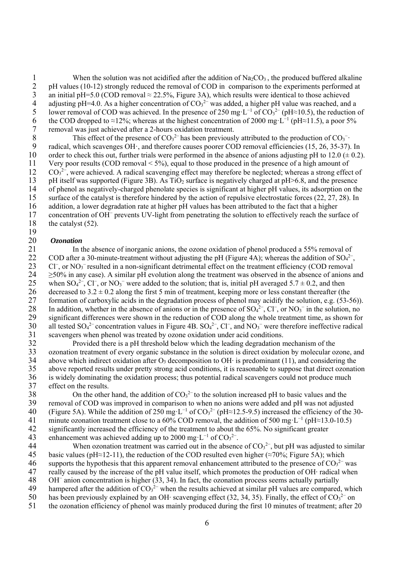1 When the solution was not acidified after the addition of  $Na_2CO_3$ , the produced buffered alkaline<br>2 pH values (10-12) strongly reduced the removal of COD in comparison to the experiments performed at 2 pH values (10-12) strongly reduced the removal of COD in comparison to the experiments performed at an initial pH=5.0 (COD removal  $\approx$  22.5%, Figure 3A), which results were identical to those achieved 3 an initial pH=5.0 (COD removal  $\approx$  22.5%, Figure 3A), which results were identical to those achieved<br>4 adjusting pH=4.0. As a higher concentration of  $CO<sub>3</sub><sup>2</sup>$  was added, a higher pH value was reached, and 4 adjusting pH=4.0. As a higher concentration of  $CO<sub>3</sub><sup>2–</sup>$  was added, a higher pH value was reached, and a 5 lower removal of COD was achieved. In the presence of 250 mg·L<sup>-1</sup> of CO<sub>3</sub><sup>2−</sup> (pH≈10.5), the reduction of the COD dropped to ≈12%; whereas at the highest concentration of 2000 mg·L<sup>-1</sup> (pH≈11.5), a poor 5% removal was just achieved after a 2-hours oxidation treatment.

7 removal was just achieved after a 2-hours oxidation treatment.<br>8 This effect of the presence of  $CO_3^{2-}$  has been previousl<br>9 radical, which scavenges  $OH \cdot$ , and therefore causes poorer CO 8 This effect of the presence of  $CO<sub>3</sub><sup>2</sup>$  has been previously attributed to the production of  $CO<sub>3</sub><sup>-</sup>$ . radical, which scavenges OH·, and therefore causes poorer COD removal efficiencies (15, 26, 35-37). In 10 order to check this out, further trials were performed in the absence of anions adjusting pH to 12.0  $(\pm 0.2)$ . 11 Very poor results (COD removal < 5%), equal to those produced in the presence of a high amount of 12 CO<sub>3</sub><sup>2−</sup>, were achieved. A radical scavenging effect may therefore be neglected; whereas a strong effect of 13 pH itself was supported (Figure 3B). As  $TiO<sub>2</sub>$  surface is negatively charged at pH $>6.8$ , and the presence of phenol as negatively-charged phenolate species is significant at higher pH values, its adsorption on th 14 of phenol as negatively-charged phenolate species is significant at higher pH values, its adsorption on the 15 surface of the catalyst is therefore hindered by the action of repulsive electrostatic forces (22, 27, 28). In 16 addition, a lower degradation rate at higher pH values has been attributed to the fact that a higher 17 concentration of OH<sup>−</sup> prevents UV-light from penetrating the solution to effectively reach the surface of 18 the catalyst (52).

### $\frac{19}{20}$ 20 *Ozonation*

21 In the absence of inorganic anions, the ozone oxidation of phenol produced a 55% removal of 22 COD after a 30-minute-treatment without adiusting the pH (Figure 4A): whereas the addition of  $SO_4^{2-}$ . 22 COD after a 30-minute-treatment without adjusting the pH (Figure 4A); whereas the addition of  $SO_4^2$ <sup>-</sup>, 23 Cl<sup>-</sup>, or NO<sub>3</sub><sup>−</sup> resulted in a non-significant detrimental effect on the treatment efficiency (COD removal  $24 \geq 50\%$  in any case). A similar pH evolution along the treatment was observed in the absence of anions and 25 when  $SO_4^2$ <sup>-</sup>, Cl<sup>-</sup>, or NO<sub>3</sub><sup>-</sup> were added to the solution; that is, initial pH averaged 5.7  $\pm$  0.2, and then 26 decreased to  $3.2 \pm 0.2$  along the first 5 min of treatment, keeping more or less constant thereafter (the 27 formation of carboxylic acids in the degradation process of phenol may acidify the solution, e.g. (53-5) 27 formation of carboxylic acids in the degradation process of phenol may acidify the solution, e.g. (53-56)). 28 In addition, whether in the absence of anions or in the presence of  $SO_4^2$ <sup>-</sup>,  $Cl^-$ , or  $NO_3^-$  in the solution, no 29 significant differences were shown in the reduction of COD along the whole treatment time, as shown for 30 all tested  $SO_4^2$  concentration values in Figure 4B,  $SO_4^2$  Cl<sup>-</sup>, and  $NO_3$ <sup>-</sup> were therefore ineffective ra 30 all tested  $SO_4^2$ <sup>-</sup> concentration values in Figure 4B.  $SO_4^2$ <sup>-</sup>,  $Cl^-$ , and  $NO_3^-$  were therefore ineffective radical 31 scavengers when phenol was treated by ozone oxidation under acid conditions.<br>32 Provided there is a pH threshold below which the leading degradation r

32 Provided there is a pH threshold below which the leading degradation mechanism of the 33 ozonation treatment of every organic substance in the solution is direct oxidation by molecular ozone, and 34 above which indirect oxidation after  $O_3$  decomposition to OH· is predominant (11), and considering the 35 above reported results under pretty strong acid conditions, it is reasonable to suppose that direct ozonation<br>36 is widely dominating the oxidation process: thus potential radical scavengers could not produce much 36 is widely dominating the oxidation process; thus potential radical scavengers could not produce much effect on the results. 37 effect on the results.<br>38 On the other

38 On the other hand, the addition of  $CO<sub>3</sub><sup>2−</sup>$  to the solution increased pH to basic values and the 39 removal of COD was improved in comparison to when no anions were added and pH was not adjusted 40 (Figure 5A). While the addition of 250 mg·L<sup>-1</sup> of CO<sub>3</sub><sup>2-</sup> (pH≈12.5-9.5) increased the efficiency of the 30-41 minute ozonation treatment close to a 60% COD removal, the addition of 500 mg·L<sup>-1</sup> (pH≈13.0-10.5) 42 significantly increased the efficiency of the treatment to about the 65%. No significant greater 43 enhancement was achieved adding up to 2000 mg·L<sup>-1</sup> of  $CO<sub>3</sub><sup>2</sup>$ .

44 When ozonation treatment was carried out in the absence of  $CO<sub>3</sub><sup>2</sup>$ , but pH was adjusted to similar 45 basic values (pH≈12-11), the reduction of the COD resulted even higher (≈70%; Figure 5A); which 46 supports the hypothesis that this apparent removal enhancement attributed to the presence of  $CO<sub>3</sub><sup>2-</sup>$  was 47 really caused by the increase of the pH value itself, which promotes the production of OH· radical when

- OH<sup>−</sup> 48 anion concentration is higher (33, 34). In fact, the ozonation process seems actually partially
- 49 hampered after the addition of  $CO<sub>3</sub><sup>2-</sup>$  when the results achieved at similar pH values are compared, which
- 50 has been previously explained by an OH· scavenging effect (32, 34, 35). Finally, the effect of  $CO_3^{2-}$  on
- 51 the ozonation efficiency of phenol was mainly produced during the first 10 minutes of treatment; after 20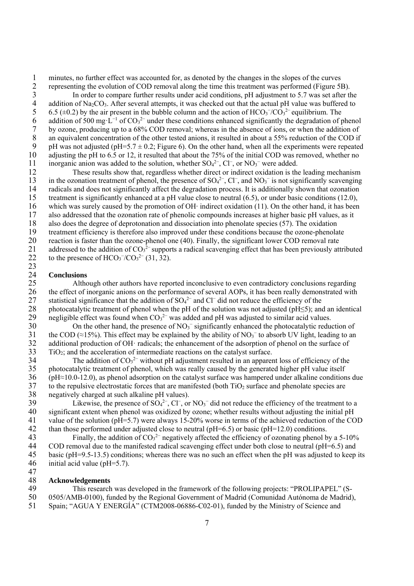1 minutes, no further effect was accounted for, as denoted by the changes in the slopes of the curves<br>2 representing the evolution of COD removal along the time this treatment was performed (Figure 51<br>3 In order to compare 2 representing the evolution of COD removal along the time this treatment was performed (Figure 5B).

3 In order to compare further results under acid conditions, pH adjustment to 5.7 was set after the addition of Na<sub>2</sub>CO<sub>3</sub>. After several attempts, it was checked out that the actual pH value was buffered to 4 addition of Na<sub>2</sub>CO<sub>3</sub>. After several attempts, it was checked out that the actual pH value was buffered to 6.5 ( $\pm$ 0.2) by the air present in the bubble column and the action of HCO<sub>3</sub><sup>-</sup>/CO<sub>3</sub><sup>2</sup>- equilibrium. The 5 6.5 ( $\pm$ 0.2) by the air present in the bubble column and the action of HCO<sub>3</sub><sup>-</sup>/CO<sub>3</sub><sup>2−</sup> equilibrium. The 6 addition of 500 mg·L<sup>-1</sup> of  $CO<sub>3</sub><sup>2-</sup>$  under these conditions enhanced significantly the degradation of phenol 7 by ozone, producing up to a 68% COD removal; whereas in the absence of ions, or when the addition of an equivalent concentration of the other tested anions, it resulted in about a 55% reduction of the COD if 8 an equivalent concentration of the other tested anions, it resulted in about a 55% reduction of the COD if<br>9 bH was not adjusted (pH=5.7  $\pm$  0.2: Figure 6). On the other hand, when all the experiments were repeated pH was not adjusted (pH=5.7  $\pm$  0.2; Figure 6). On the other hand, when all the experiments were repeated 10 adjusting the pH to 6.5 or 12, it resulted that about the 75% of the initial COD was removed, whether no 11 inorganic anion was added to the solution, whether SO<sub>4</sub><sup>2−</sup>, Cl<sup>−</sup>, or NO<sub>3</sub><sup>−</sup> were added.

12 These results show that, regardless whether direct or indirect oxidation is the leading mechanism 13 in the ozonation treatment of phenol, the presence of SO<sub>4</sub><sup>2–</sup>, Cl<sup>−</sup>, and NO<sub>3</sub><sup>–</sup> is not significantly scavenging 14 radicals and does not significantly affect the degradation process. It is additionally shown that ozonation 15 treatment is significantly enhanced at a pH value close to neutral (6.5), or under basic conditions (12.0), 16 which was surely caused by the promotion of OH· indirect oxidation (11). On the other hand, it has been 17 also addressed that the ozonation rate of phenolic compounds increases at higher basic pH values, as it 18 also does the degree of deprotonation and dissociation into phenolate species (57). The oxidation<br>19 treatment efficiency is therefore also improved under these conditions because the ozone-phenola 19 treatment efficiency is therefore also improved under these conditions because the ozone-phenolate<br>20 reaction is faster than the ozone-phenol one (40). Finally, the significant lower COD removal rate 20 reaction is faster than the ozone-phenol one (40). Finally, the significant lower COD removal rate<br>21 addressed to the addition of  $CO_3^{2-}$  supports a radical scavenging effect that has been previously att 21 addressed to the addition of  $CO<sub>3</sub><sup>2</sup>$  supports a radical scavenging effect that has been previously attributed 22 to the presence of  $HCO<sub>3</sub><sup>-</sup>/CO<sub>3</sub><sup>2-</sup> (31, 32).$ 

#### $\frac{23}{24}$ 24 **Conclusions**

25 Although other authors have reported inconclusive to even contradictory conclusions regarding 26 the effect of inorganic anions on the performance of several AOPs, it has been really demonstrated with<br>27 statistical significance that the addition of  $SO_4^{2-}$  and  $Cl^-$  did not reduce the efficiency of the 27 statistical significance that the addition of  $SO_4^2$  and  $Cl^-$  did not reduce the efficiency of the 28 photocatalytic treatment of phenol when the pH of the solution was not adjusted (pH≤5); and an identical negligible effect was found when  $CO<sub>3</sub><sup>2</sup>$  was added and pH was adjusted to similar acid values. 29 negligible effect was found when  $CO<sub>3</sub><sup>2-</sup>$  was added and pH was adjusted to similar acid values.

30 On the other hand, the presence of  $NO<sub>3</sub><sup>-</sup>$  significantly enhanced the photocatalytic reduction of 31 the COD (≈15%). This effect may be explained by the ability of  $NO_3^-$  to absorb UV light, leading to an 32 additional production of OH· radicals; the enhancement of the adsorption of phenol on the surface of 33 TiO2; and the acceleration of intermediate reactions on the catalyst surface.

34 The addition of  $CO<sub>3</sub><sup>2-</sup>$  without pH adjustment resulted in an apparent loss of efficiency of the 35 photocatalytic treatment of phenol, which was really caused by the generated higher pH value itself  $36$  (pH $\approx$ 10.0-12.0), as phenol adsorption on the catalyst surface was hampered under alkaline condition  $36$  (pH≈10.0-12.0), as phenol adsorption on the catalyst surface was hampered under alkaline conditions due<br>37 to the repulsive electrostatic forces that are manifested (both TiO<sub>2</sub> surface and phenolate species are 37 to the repulsive electrostatic forces that are manifested (both  $TiO<sub>2</sub>$  surface and phenolate species are negatively charged at such alkaline pH values). 38 negatively charged at such alkaline pH values).<br>39 Likewise, the presence of  $SO_4^{2-}$ , Cl<sup>-</sup>, or

29 Likewise, the presence of  $SO_4^2$ <sup>-</sup>,  $Cl^-$ , or  $NO_3^-$  did not reduce the efficiency of the treatment to a 40 significant extent when phenol was oxidized by ozone; whether results without adjusting the initial pH 41 value of the solution (pH=5.7) were always 15-20% worse in terms of the achieved reduction of the COD 42 than those performed under adjusted close to neutral (pH=6.5) or basic (pH=12.0) conditions.

43 Finally, the addition of  $CO<sub>3</sub><sup>2-</sup>$  negatively affected the efficiency of ozonating phenol by a 5-10% 44 COD removal due to the manifested radical scavenging effect under both close to neutral (pH=6.5) and<br>45 basic (pH=9.5-13.5) conditions; whereas there was no such an effect when the pH was adjusted to keep 45 basic (pH=9.5-13.5) conditions; whereas there was no such an effect when the pH was adjusted to keep its 46 initial acid value (pH=5.7).

47

### 48 **Acknowledgements**

49 This research was developed in the framework of the following projects: "PROLIPAPEL" (S-50 0505/AMB-0100), funded by the Regional Government of Madrid (Comunidad Autónoma de Madrid), 51 Spain; "AGUA Y ENERGÍA" (CTM2008-06886-C02-01), funded by the Ministry of Science and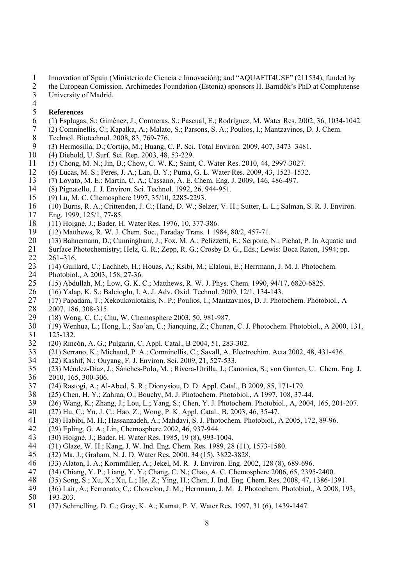- 1 Innovation of Spain (Ministerio de Ciencia e Innovación); and "AQUAFIT4USE" (211534), funded by
- 2 the European Comission. Archimedes Foundation (Estonia) sponsors H. Barndõk's PhD at Complutense<br>3 University of Madrid. University of Madrid.
- $\frac{4}{5}$

### 5 **References**

- 6 (1) Esplugas, S.; Giménez, J.; Contreras, S.; Pascual, E.; Rodríguez, M. Water Res. 2002, 36, 1034-1042.
- 7 (2) Comninellis, C.; Kapalka, A.; Malato, S.; Parsons, S. A.; Poulios, I.; Mantzavinos, D. J. Chem.
- 8 Technol. Biotechnol. 2008, 83, 769-776.<br>9 (3) Hermosilla. D.: Cortijo. M.: Huang. 0
- 9 (3) Hermosilla, D.; Cortijo, M.; Huang, C. P. Sci. Total Environ. 2009, 407, 3473–3481.
- 10 (4) Diebold, U. Surf. Sci. Rep. 2003, 48, 53-229.
- 11 (5) Chong, M. N.; Jin, B.; Chow, C. W. K.; Saint, C. Water Res. 2010, 44, 2997-3027.
- 12 (6) Lucas, M. S.; Peres, J. A.; Lan, B. Y.; Puma, G. L. Water Res. 2009, 43, 1523-1532.
- 13 (7) Lovato, M. E.; Martín, C. A.; Cassano, A. E. Chem. Eng. J. 2009, 146, 486-497.
- 14 (8) Pignatello, J. J. Environ. Sci. Technol. 1992, 26, 944-951.
- 15 (9) Lu, M. C. Chemosphere 1997, 35/10, 2285-2293.
- 16 (10) Burns, R. A.; Crittenden, J. C.; Hand, D. W.; Selzer, V. H.; Sutter, L. L.; Salman, S. R. J. Environ.
- 17 Eng. 1999, 125/1, 77-85.
- 18 (11) Hoigné, J.; Bader, H. Water Res. 1976, 10, 377-386.<br>19 (12) Matthews, R. W. J. Chem. Soc., Faraday Trans. 119
- 19 (12) Matthews, R. W. J. Chem. Soc., Faraday Trans. 1 1984, 80/2, 457-71.
- 20 (13) Bahnemann, D.; Cunningham, J.; Fox, M. A.; Pelizzetti, E.; Serpone, N.; Pichat, P. In Aquatic and
- 21 Surface Photochemistry; Helz, G. R.; Zepp, R. G.; Crosby D. G., Eds.; Lewis: Boca Raton, 1994; pp. 22 261–316.
- 23 (14) Guillard, C.; Lachheb, H.; Houas, A.; Ksibi, M.; Elaloui, E.; Herrmann, J. M. J. Photochem.
- 24 Photobiol., A 2003, 158, 27-36.
- 25 (15) Abdullah, M.; Low, G. K. C.; Matthews, R. W. J. Phys. Chem. 1990, 94/17, 6820-6825.
- 26 (16) Yalap, K. S.; Balcioglu, I. A. J. Adv. Oxid. Technol. 2009, 12/1, 134-143.
- 27 (17) Papadam, T.; Xekoukoulotakis, N. P.; Poulios, I.; Mantzavinos, D. J. Photochem. Photobiol., A 28 2007, 186, 308-315.<br>29 (18) Wong, C, C, C
- 29 (18) Wong, C. C.; Chu, W. Chemosphere 2003, 50, 981-987.
- 30 (19) Wenhua, L.; Hong, L.; Sao'an, C.; Jianquing, Z.; Chunan, C. J. Photochem. Photobiol., A 2000, 131, 31 125-132.
- 32 (20) Rincón, A. G.; Pulgarin, C. Appl. Catal., B 2004, 51, 283-302.
- 33 (21) Serrano, K.; Michaud, P. A.; Comninellis, C.; Savall, A. Electrochim. Acta 2002, 48, 431-436.
- 34 (22) Kashif, N.; Ouyang, F. J. Environ. Sci. 2009, 21, 527-533.
- 35 (23) Méndez-Díaz, J.; Sánches-Polo, M. ; Rivera-Utrilla, J.; Canonica, S.; von Gunten, U. Chem. Eng. J.
- 36 2010, 165, 300-306.<br>37 (24) Rastogi, A.; Al-37 (24) Rastogi, A.; Al-Abed, S. R.; Dionysiou, D. D. Appl. Catal., B 2009, 85, 171-179.
- 38 (25) Chen, H. Y.; Zahraa, O.; Bouchy, M. J. Photochem. Photobiol., A 1997, 108, 37-44.
- 39 (26) Wang, K.; Zhang, J.; Lou, L.; Yang, S.; Chen, Y. J. Photochem. Photobiol., A, 2004, 165, 201-207.
- 40 (27) Hu, C.; Yu, J. C.; Hao, Z.; Wong, P. K. Appl. Catal., B, 2003, 46, 35-47.
- 41 (28) Habibi, M. H.; Hassanzadeh, A.; Mahdavi, S. J. Photochem. Photobiol., A 2005, 172, 89-96.
- 42 (29) Epling, G. A.; Lin, Chemosphere 2002, 46, 937-944.
- 43 (30) Hoigné, J.; Bader, H. Water Res. 1985, 19 (8), 993-1004.
- 44 (31) Glaze, W. H.; Kang, J. W. Ind. Eng. Chem. Res. 1989, 28 (11), 1573-1580.
- 45 (32) Ma, J.; Graham, N. J. D. Water Res. 2000. 34 (15), 3822-3828.
- 46 (33) Alaton, I. A.; Kornmüller, A.; Jekel, M. R. J. Environ. Eng. 2002, 128 (8), 689-696.
- 47 (34) Chiang, Y. P.; Liang, Y. Y.; Chang, C. N.; Chao, A. C. Chemosphere 2006, 65, 2395-2400.
- 48 (35) Song, S.; Xu, X.; Xu, L.; He, Z.; Ying, H.; Chen, J. Ind. Eng. Chem. Res. 2008, 47, 1386-1391.
- 49 (36) Lair, A.; Ferronato, C.; Chovelon, J. M.; Herrmann, J. M. J. Photochem. Photobiol., A 2008, 193,
- 50 193-203.
- 51 (37) Schmelling, D. C.; Gray, K. A.; Kamat, P. V. Water Res. 1997, 31 (6), 1439-1447.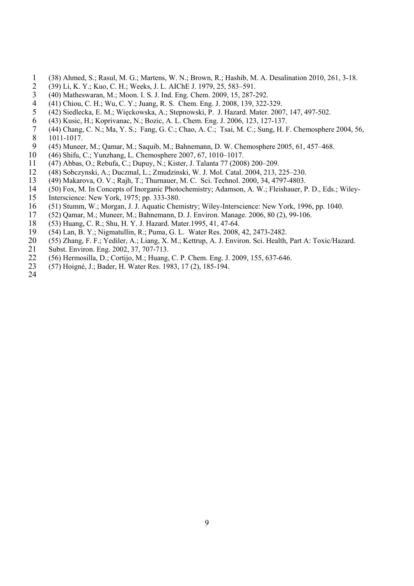- 1 (38) Ahmed, S.; Rasul, M. G.; Martens, W. N.; Brown, R.; Hashib, M. A. Desalination 2010, 261, 3-18.
- 
- 2 (39) Li, K. Y.; Kuo, C. H.; Weeks, J. L. AIChE J. 1979, 25, 583–591.<br>3 (40) Matheswaran, M.; Moon. I. S. J. Ind. Eng. Chem. 2009, 15, 287-2 3 (40) Matheswaran, M.; Moon. I. S. J. Ind. Eng. Chem. 2009, 15, 287-292.<br>4 (41) Chiou. C. H.: Wu. C. Y.: Juang. R. S. Chem. Eng. J. 2008, 139, 322-
- 4 (41) Chiou, C. H.; Wu, C. Y.; Juang, R. S. Chem. Eng. J. 2008, 139, 322-329.
- 5 (42) Siedlecka, E. M.; Więckowska, A.; Stepnowski, P. J. Hazard. Mater. 2007, 147, 497-502.<br>6 (43) Kusic, H.; Koprivanac, N.; Bozic, A. L. Chem. Eng. J. 2006, 123, 127-137.
- 
- 6 (43) Kusic, H.; Koprivanac, N.; Bozic, A. L. Chem. Eng. J. 2006, 123, 127-137.<br>
(44) Chang, C. N.; Ma, Y. S.; Fang, G. C.; Chao, A. C.; Tsai, M. C.; Sung, H. F 7 (44) Chang, C. N.; Ma, Y. S.; Fang, G. C.; Chao, A. C.; Tsai, M. C.; Sung, H. F. Chemosphere 2004, 56, 8 1011-1017.<br>9 (45) Munee
- 9 (45) Muneer, M.; Qamar, M.; Saquib, M.; Bahnemann, D. W. Chemosphere 2005, 61, 457–468.
- 10 (46) Shifu, C.; Yunzhang, L. Chemosphere 2007, 67, 1010–1017.
- 11 (47) Abbas, O.; Rebufa, C.; Dupuy, N.; Kister, J. Talanta 77 (2008) 200–209.
- 12 (48) Sobczynski, A.; Duczmal, L.; Zmudzinski, W. J. Mol. Catal. 2004, 213, 225–230.
- 13 (49) Makarova, O. V.; Rajh, T.; Thurnauer, M. C. Sci. Technol. 2000, 34, 4797-4803.
- 14 (50) Fox, M. In Concepts of Inorganic Photochemistry; Adamson, A. W.; Fleishauer, P. D., Eds.; Wiley-
- 15 Interscience: New York, 1975; pp. 333-380.
- 16 (51) Stumm, W.; Morgan, J. J. Aquatic Chemistry; Wiley-Interscience: New York, 1996, pp. 1040.
- 17 (52) Qamar, M.; Muneer, M.; Bahnemann, D. J. Environ. Manage. 2006, 80 (2), 99-106.
- 18 (53) Huang, C. R.; Shu, H. Y. J. Hazard. Mater.1995, 41, 47-64.<br>19 (54) Lan. B. Y.: Nigmatullin. R.: Puma. G. L. Water Res. 2008.
- 19 (54) Lan, B. Y.; Nigmatullin, R.; Puma, G. L. Water Res. 2008, 42, 2473-2482.
- 20 (55) Zhang, F. F.; Yediler, A.; Liang, X. M.; Kettrup, A. J. Environ. Sci. Health, Part A: Toxic/Hazard.
- 21 Subst. Environ. Eng. 2002, 37, 707-713.
- 22 (56) Hermosilla, D.; Cortijo, M.; Huang, C. P. Chem. Eng. J. 2009, 155, 637-646.
- 23 (57) Hoigné, J.; Bader, H. Water Res. 1983, 17 (2), 185-194.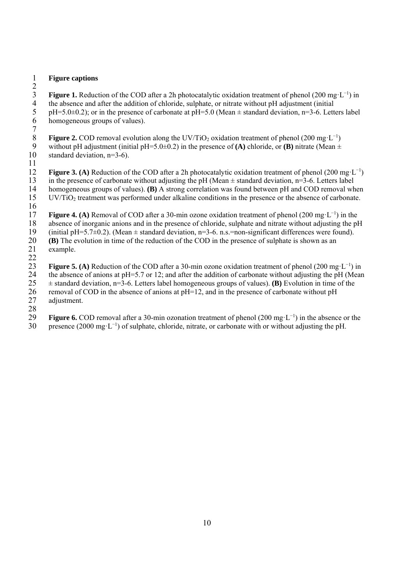### 1 **Figure captions**

 $\frac{2}{3}$ **Figure 1.** Reduction of the COD after a 2h photocatalytic oxidation treatment of phenol (200 mg·L<sup>-1</sup>) in the absence and after the addition of chloride, sulphate, or nitrate without pH adjustment (initial 4 the absence and after the addition of chloride, sulphate, or nitrate without pH adjustment (initial pH=5.0±0.2); or in the presence of carbonate at pH=5.0 (Mean  $\pm$  standard deviation, n=3-6. Lett 5 pH=5.0 $\pm$ 0.2); or in the presence of carbonate at pH=5.0 (Mean  $\pm$  standard deviation, n=3-6. Letters label homogeneous groups of values). homogeneous groups of values).

 $\begin{array}{c} 7 \\ 8 \end{array}$ **Figure 2.** COD removal evolution along the UV/TiO<sub>2</sub> oxidation treatment of phenol (200 mg·L<sup>-1</sup>) without pH adjustment (initial pH=5.0±0.2) in the presence of (A) chloride, or (B) nitrate (Mean ± without pH adjustment (initial pH=5.0 $\pm$ 0.2) in the presence of **(A)** chloride, or **(B)** nitrate (Mean  $\pm$ 10 standard deviation, n=3-6).

 $\frac{11}{12}$ **Figure 3. (A)** Reduction of the COD after a 2h photocatalytic oxidation treatment of phenol (200 mg·L<sup>-1</sup>) 13 in the presence of carbonate without adjusting the pH (Mean  $\pm$  standard deviation, n=3-6. Letters label 14 homogeneous groups of values). (**B**) A strong correlation was found between pH and COD removal wh 14 homogeneous groups of values). **(B)** A strong correlation was found between pH and COD removal when 15 UV/TiO2 treatment was performed under alkaline conditions in the presence or the absence of carbonate. 16

**Figure 4. (A)** Removal of COD after a 30-min ozone oxidation treatment of phenol (200 mg·L<sup>−1</sup>) in the 18 absence of inorganic anions and in the presence of chloride, sulphate and nitrate without adjusting the pH  $\left( \frac{19}{24} \right)$  (initial pH=5.7±0.2). (Mean ± standard deviation. n=3-6. n.s.=non-significant differences wer 19 (initial pH=5.7 $\pm$ 0.2). (Mean  $\pm$  standard deviation, n=3-6. n.s.=non-significant differences were found).<br>20 **(B)** The evolution in time of the reduction of the COD in the presence of sulphate is shown as an 20 **(B)** The evolution in time of the reduction of the COD in the presence of sulphate is shown as an example. example.

 $\frac{22}{23}$ **Figure 5. (A)** Reduction of the COD after a 30-min ozone oxidation treatment of phenol (200 mg·L<sup>-1</sup>) in 24 the absence of anions at pH=5.7 or 12; and after the addition of carbonate without adjusting the pH (Mean 25 ± standard deviation, n=3-6. Letters label homogeneous groups of values). **(B)** Evolution in time of the 26 removal of COD in the absence of anions at  $pH=12$ , and in the presence of carbonate without  $pH = 27$  adjustment. adjustment.

28 **Figure 6.** COD removal after a 30-min ozonation treatment of phenol (200 mg·L<sup>−1</sup>) in the absence or the 30 presence (2000 mg·L<sup>-1</sup>) of sulphate, chloride, nitrate, or carbonate with or without adjusting the pH.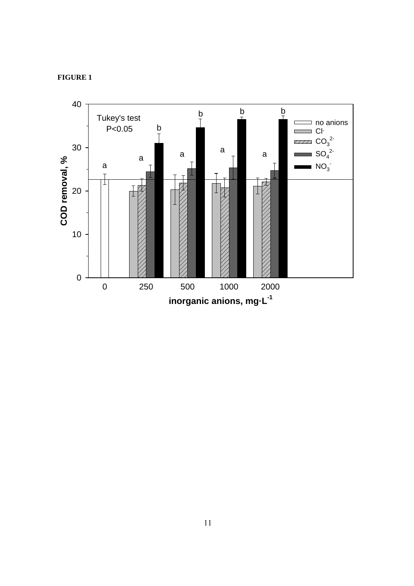

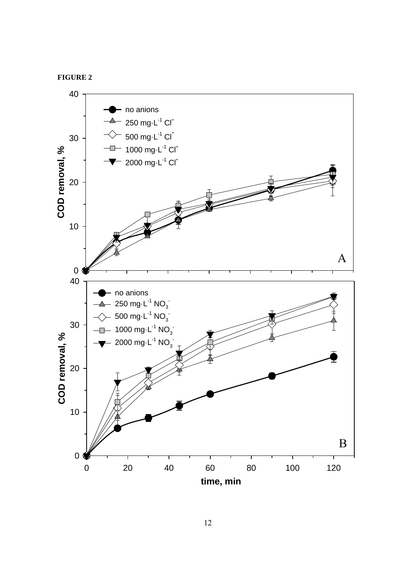

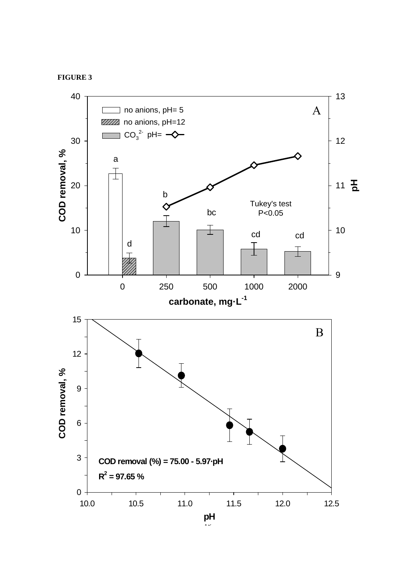



 $\sum_{i=1}^n$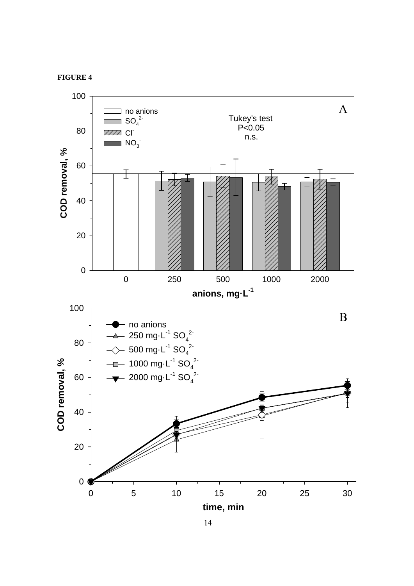

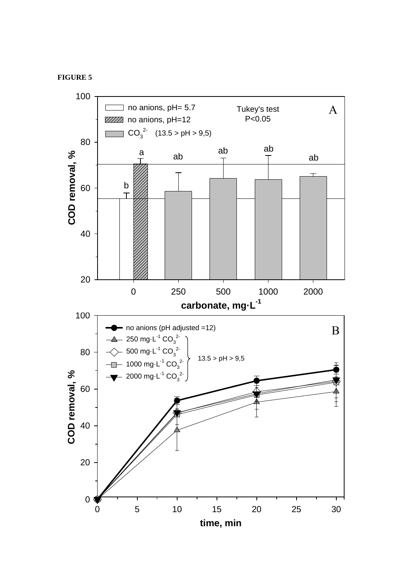### **FIGURE 5**